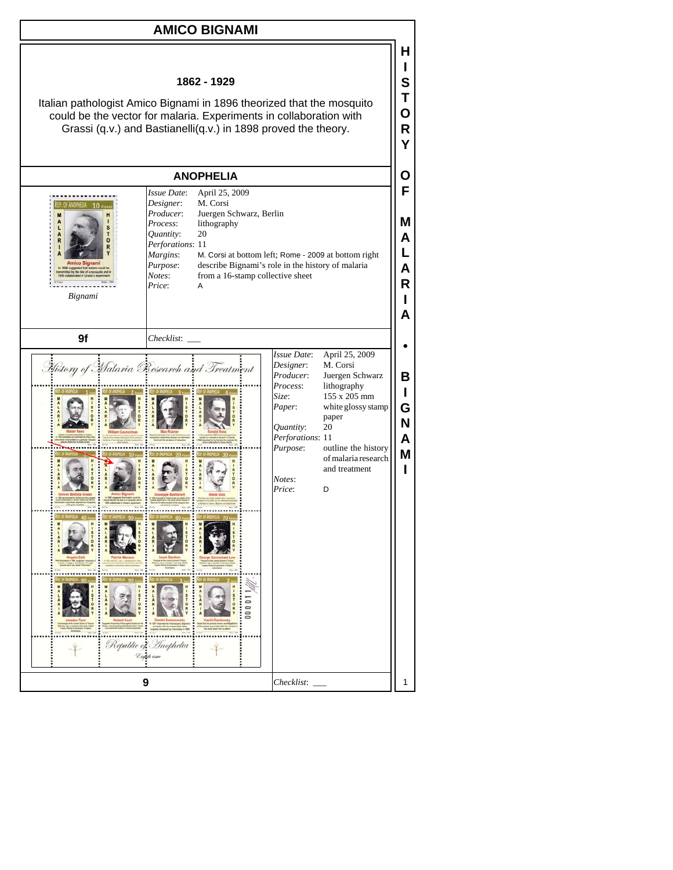